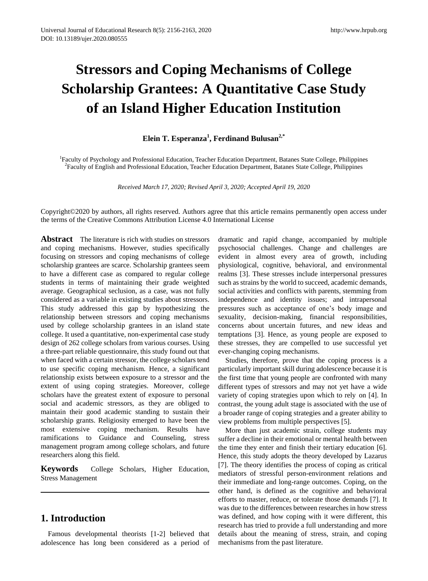# **Stressors and Coping Mechanisms of College Scholarship Grantees: A Quantitative Case Study of an Island Higher Education Institution**

## **Elein T. Esperanza<sup>1</sup> , Ferdinand Bulusan2,\***

<sup>1</sup>Faculty of Psychology and Professional Education, Teacher Education Department, Batanes State College, Philippines <sup>2</sup> Faculty of English and Professional Education, Teacher Education Department, Batanes State College, Philippines

*Received March 17, 2020; Revised April 3, 2020; Accepted April 19, 2020*

Copyright©2020 by authors, all rights reserved. Authors agree that this article remains permanently open access under the terms of the Creative Commons Attribution License 4.0 International License

Abstract The literature is rich with studies on stressors and coping mechanisms. However, studies specifically focusing on stressors and coping mechanisms of college scholarship grantees are scarce. Scholarship grantees seem to have a different case as compared to regular college students in terms of maintaining their grade weighted average. Geographical seclusion, as a case, was not fully considered as a variable in existing studies about stressors. This study addressed this gap by hypothesizing the relationship between stressors and coping mechanisms used by college scholarship grantees in an island state college. It used a quantitative, non-experimental case study design of 262 college scholars from various courses. Using a three-part reliable questionnaire, this study found out that when faced with a certain stressor, the college scholars tend to use specific coping mechanism. Hence, a significant relationship exists between exposure to a stressor and the extent of using coping strategies. Moreover, college scholars have the greatest extent of exposure to personal social and academic stressors, as they are obliged to maintain their good academic standing to sustain their scholarship grants. Religiosity emerged to have been the most extensive coping mechanism. Results have ramifications to Guidance and Counseling, stress management program among college scholars, and future researchers along this field.

**Keywords** College Scholars, Higher Education, Stress Management

# **1. Introduction**

Famous developmental theorists [1-2] believed that adolescence has long been considered as a period of

dramatic and rapid change, accompanied by multiple psychosocial challenges. Change and challenges are evident in almost every area of growth, including physiological, cognitive, behavioral, and environmental realms [3]. These stresses include interpersonal pressures such as strains by the world to succeed, academic demands, social activities and conflicts with parents, stemming from independence and identity issues; and intrapersonal pressures such as acceptance of one's body image and sexuality, decision-making, financial responsibilities, concerns about uncertain futures, and new ideas and temptations [3]. Hence, as young people are exposed to these stresses, they are compelled to use successful yet ever-changing coping mechanisms.

Studies, therefore, prove that the coping process is a particularly important skill during adolescence because it is the first time that young people are confronted with many different types of stressors and may not yet have a wide variety of coping strategies upon which to rely on [4]. In contrast, the young adult stage is associated with the use of a broader range of coping strategies and a greater ability to view problems from multiple perspectives [5].

More than just academic strain, college students may suffer a decline in their emotional or mental health between the time they enter and finish their tertiary education [6]. Hence, this study adopts the theory developed by Lazarus [7]. The theory identifies the process of coping as critical mediators of stressful person-environment relations and their immediate and long-range outcomes. Coping, on the other hand, is defined as the cognitive and behavioral efforts to master, reduce, or tolerate those demands [7]. It was due to the differences between researches in how stress was defined, and how coping with it were different, this research has tried to provide a full understanding and more details about the meaning of stress, strain, and coping mechanisms from the past literature.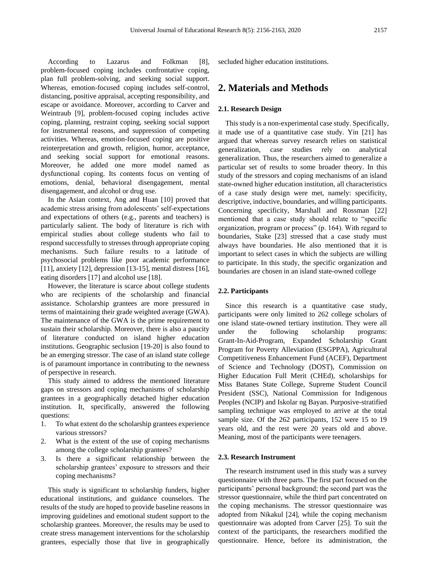According to Lazarus and Folkman [8], problem-focused coping includes confrontative coping, plan full problem-solving, and seeking social support. Whereas, emotion-focused coping includes self-control, distancing, positive appraisal, accepting responsibility, and escape or avoidance. Moreover, according to Carver and Weintraub [9], problem-focused coping includes active coping, planning, restraint coping, seeking social support for instrumental reasons, and suppression of competing activities. Whereas, emotion-focused coping are positive reinterpretation and growth, religion, humor, acceptance, and seeking social support for emotional reasons. Moreover, he added one more model named as dysfunctional coping. Its contents focus on venting of emotions, denial, behavioral disengagement, mental disengagement, and alcohol or drug use.

In the Asian context, Ang and Huan [10] proved that academic stress arising from adolescents' self-expectations and expectations of others (e.g., parents and teachers) is particularly salient. The body of literature is rich with empirical studies about college students who fail to respond successfully to stresses through appropriate coping mechanisms. Such failure results to a latitude of psychosocial problems like poor academic performance [11], anxiety [12], depression [13-15], mental distress [16], eating disorders [17] and alcohol use [18].

However, the literature is scarce about college students who are recipients of the scholarship and financial assistance. Scholarship grantees are more pressured in terms of maintaining their grade weighted average (GWA). The maintenance of the GWA is the prime requirement to sustain their scholarship. Moreover, there is also a paucity of literature conducted on island higher education institutions. Geographic seclusion [19-20] is also found to be an emerging stressor. The case of an island state college is of paramount importance in contributing to the newness of perspective in research.

This study aimed to address the mentioned literature gaps on stressors and coping mechanisms of scholarship grantees in a geographically detached higher education institution. It, specifically, answered the following questions:

- 1. To what extent do the scholarship grantees experience various stressors?
- 2. What is the extent of the use of coping mechanisms among the college scholarship grantees?
- 3. Is there a significant relationship between the scholarship grantees' exposure to stressors and their coping mechanisms?

This study is significant to scholarship funders, higher educational institutions, and guidance counselors. The results of the study are hoped to provide baseline reasons in improving guidelines and emotional student support to the scholarship grantees. Moreover, the results may be used to create stress management interventions for the scholarship grantees, especially those that live in geographically

secluded higher education institutions.

### **2. Materials and Methods**

#### **2.1. Research Design**

This study is a non-experimental case study. Specifically, it made use of a quantitative case study. Yin [21] has argued that whereas survey research relies on statistical generalization, case studies rely on analytical generalization. Thus, the researchers aimed to generalize a particular set of results to some broader theory. In this study of the stressors and coping mechanisms of an island state-owned higher education institution, all characteristics of a case study design were met, namely: specificity, descriptive, inductive, boundaries, and willing participants. Concerning specificity, Marshall and Rossman [22] mentioned that a case study should relate to "specific organization, program or process" (p. 164). With regard to boundaries, Stake [23] stressed that a case study must always have boundaries. He also mentioned that it is important to select cases in which the subjects are willing to participate. In this study, the specific organization and boundaries are chosen in an island state-owned college

#### **2.2. Participants**

Since this research is a quantitative case study, participants were only limited to 262 college scholars of one island state-owned tertiary institution. They were all under the following scholarship programs: Grant-In-Aid-Program, Expanded Scholarship Grant Program for Poverty Alleviation (ESGPPA), Agricultural Competitiveness Enhancement Fund (ACEF), Department of Science and Technology (DOST), Commission on Higher Education Full Merit (CHEd), scholarships for Miss Batanes State College, Supreme Student Council President (SSC), National Commission for Indigenous Peoples (NCIP) and Iskolar ng Bayan. Purposive-stratified sampling technique was employed to arrive at the total sample size. Of the 262 participants, 152 were 15 to 19 years old, and the rest were 20 years old and above. Meaning, most of the participants were teenagers.

#### **2.3. Research Instrument**

The research instrument used in this study was a survey questionnaire with three parts. The first part focused on the participants' personal background; the second part was the stressor questionnaire, while the third part concentrated on the coping mechanisms. The stressor questionnaire was adopted from Nikakul [24], while the coping mechanism questionnaire was adopted from Carver [25]. To suit the context of the participants, the researchers modified the questionnaire. Hence, before its administration, the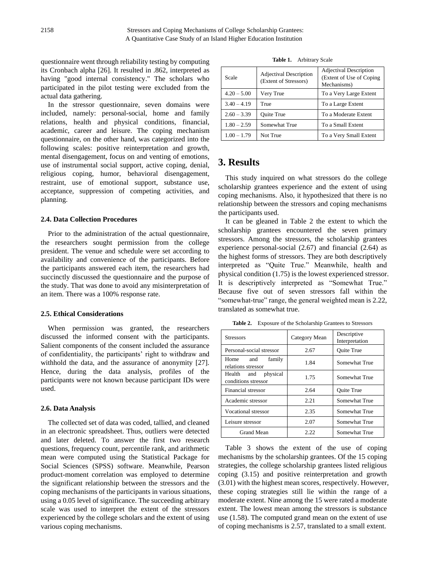questionnaire went through reliability testing by computing its Cronbach alpha [26]. It resulted in .862, interpreted as having "good internal consistency." The scholars who participated in the pilot testing were excluded from the actual data gathering.

In the stressor questionnaire, seven domains were included, namely: personal-social, home and family relations, health and physical conditions, financial, academic, career and leisure. The coping mechanism questionnaire, on the other hand, was categorized into the following scales: positive reinterpretation and growth, mental disengagement, focus on and venting of emotions, use of instrumental social support, active coping, denial, religious coping, humor, behavioral disengagement, restraint, use of emotional support, substance use, acceptance, suppression of competing activities, and planning.

#### **2.4. Data Collection Procedures**

Prior to the administration of the actual questionnaire, the researchers sought permission from the college president. The venue and schedule were set according to availability and convenience of the participants. Before the participants answered each item, the researchers had succinctly discussed the questionnaire and the purpose of the study. That was done to avoid any misinterpretation of an item. There was a 100% response rate.

#### **2.5. Ethical Considerations**

When permission was granted, the researchers discussed the informed consent with the participants. Salient components of the consent included the assurance of confidentiality, the participants' right to withdraw and withhold the data, and the assurance of anonymity [27]. Hence, during the data analysis, profiles of the participants were not known because participant IDs were used.

#### **2.6. Data Analysis**

The collected set of data was coded, tallied, and cleaned in an electronic spreadsheet. Thus, outliers were detected and later deleted. To answer the first two research questions, frequency count, percentile rank, and arithmetic mean were computed using the Statistical Package for Social Sciences (SPSS) software. Meanwhile, Pearson product-moment correlation was employed to determine the significant relationship between the stressors and the coping mechanisms of the participants in various situations, using a 0.05 level of significance. The succeeding arbitrary scale was used to interpret the extent of the stressors experienced by the college scholars and the extent of using various coping mechanisms.

**Table 1.** Arbitrary Scale

| Scale         | <b>Adjectival Description</b><br>(Extent of Stressors) | <b>Adjectival Description</b><br>(Extent of Use of Coping)<br>Mechanisms) |  |  |
|---------------|--------------------------------------------------------|---------------------------------------------------------------------------|--|--|
| $4.20 - 5.00$ | Very True                                              | To a Very Large Extent                                                    |  |  |
| $3.40 - 4.19$ | True                                                   | To a Large Extent                                                         |  |  |
| $2.60 - 3.39$ | <b>Ouite True</b>                                      | To a Moderate Extent                                                      |  |  |
| $1.80 - 2.59$ | Somewhat True                                          | To a Small Extent                                                         |  |  |
| $1.00 - 1.79$ | Not True                                               | To a Very Small Extent                                                    |  |  |

## **3. Results**

This study inquired on what stressors do the college scholarship grantees experience and the extent of using coping mechanisms. Also, it hypothesized that there is no relationship between the stressors and coping mechanisms the participants used.

It can be gleaned in Table 2 the extent to which the scholarship grantees encountered the seven primary stressors. Among the stressors, the scholarship grantees experience personal-social (2.67) and financial (2.64) as the highest forms of stressors. They are both descriptively interpreted as "Quite True." Meanwhile, health and physical condition (1.75) is the lowest experienced stressor. It is descriptively interpreted as "Somewhat True." Because five out of seven stressors fall within the "somewhat-true" range, the general weighted mean is 2.22, translated as somewhat true.

**Table 2.** Exposure of the Scholarship Grantees to Stressors

| <b>Stressors</b>                              | Category Mean | Descriptive<br>Interpretation |  |  |
|-----------------------------------------------|---------------|-------------------------------|--|--|
| Personal-social stressor                      | 2.67          | <b>Ouite True</b>             |  |  |
| family<br>Home and<br>relations stressor      | 1.84          | Somewhat True                 |  |  |
| physical<br>Health and<br>conditions stressor | 1.75          | Somewhat True                 |  |  |
| Financial stressor                            | 2.64          | <b>Ouite True</b>             |  |  |
| Academic stressor                             | 2.21          | Somewhat True                 |  |  |
| Vocational stressor                           | 2.35          | Somewhat True                 |  |  |
| Leisure stressor                              | 2.07          | Somewhat True                 |  |  |
| Grand Mean                                    | 2.22          | Somewhat True                 |  |  |

Table 3 shows the extent of the use of coping mechanisms by the scholarship grantees. Of the 15 coping strategies, the college scholarship grantees listed religious coping (3.15) and positive reinterpretation and growth (3.01) with the highest mean scores, respectively. However, these coping strategies still lie within the range of a moderate extent. Nine among the 15 were rated a moderate extent. The lowest mean among the stressors is substance use (1.58). The computed grand mean on the extent of use of coping mechanisms is 2.57, translated to a small extent.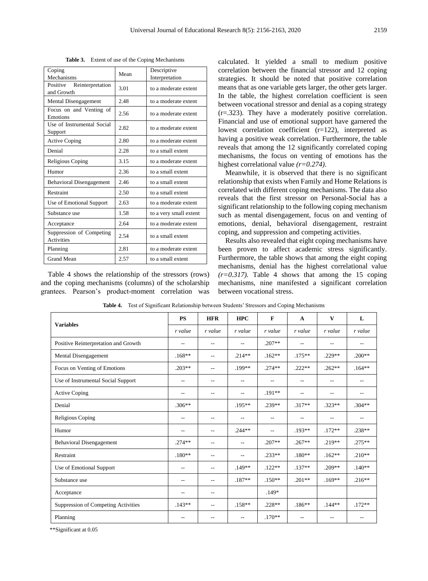**Table 3.** Extent of use of the Coping Mechanisms

| Coping<br>Mechanisms                          | Mean | Descriptive            |  |  |  |
|-----------------------------------------------|------|------------------------|--|--|--|
| Positive                                      |      | Interpretation         |  |  |  |
| Reinterpretation<br>and Growth                | 3.01 | to a moderate extent   |  |  |  |
| Mental Disengagement                          | 2.48 | to a moderate extent   |  |  |  |
| Focus on and Venting of<br>Emotions           | 2.56 | to a moderate extent   |  |  |  |
| Use of Instrumental Social<br>Support         | 2.82 | to a moderate extent   |  |  |  |
| <b>Active Coping</b>                          | 2.80 | to a moderate extent   |  |  |  |
| Denial                                        | 2.28 | to a small extent      |  |  |  |
| Religious Coping                              | 3.15 | to a moderate extent   |  |  |  |
| Humor                                         | 2.36 | to a small extent      |  |  |  |
| <b>Behavioral Disengagement</b>               | 2.46 | to a small extent      |  |  |  |
| Restraint                                     | 2.50 | to a small extent      |  |  |  |
| Use of Emotional Support                      | 2.63 | to a moderate extent   |  |  |  |
| Substance use                                 | 1.58 | to a very small extent |  |  |  |
| Acceptance                                    | 2.64 | to a moderate extent   |  |  |  |
| Suppression of Competing<br><b>Activities</b> | 2.54 | to a small extent      |  |  |  |
| Planning                                      | 2.81 | to a moderate extent   |  |  |  |
| <b>Grand Mean</b>                             | 2.57 | to a small extent      |  |  |  |

Table 4 shows the relationship of the stressors (rows) and the coping mechanisms (columns) of the scholarship grantees. Pearson's product-moment correlation was

calculated. It yielded a small to medium positive correlation between the financial stressor and 12 coping strategies. It should be noted that positive correlation means that as one variable gets larger, the other gets larger. In the table, the highest correlation coefficient is seen between vocational stressor and denial as a coping strategy (r=.323). They have a moderately positive correlation. Financial and use of emotional support have garnered the lowest correlation coefficient (r=122), interpreted as having a positive weak correlation. Furthermore, the table reveals that among the 12 significantly correlated coping mechanisms, the focus on venting of emotions has the highest correlational value *(r=0.274)*.

Meanwhile, it is observed that there is no significant relationship that exists when Family and Home Relations is correlated with different coping mechanisms. The data also reveals that the first stressor on Personal-Social has a significant relationship to the following coping mechanism such as mental disengagement, focus on and venting of emotions, denial, behavioral disengagement, restraint coping, and suppression and competing activities.

Results also revealed that eight coping mechanisms have been proven to affect academic stress significantly. Furthermore, the table shows that among the eight coping mechanisms, denial has the highest correlational value  $(r=0.317)$ . Table 4 shows that among the 15 coping mechanisms, nine manifested a significant correlation between vocational stress.

| <b>Variables</b>                     | <b>PS</b> | <b>HFR</b>               | <b>HPC</b>               | $\mathbf{F}$             | $\mathbf A$              | $\mathbf{V}$             | L         |
|--------------------------------------|-----------|--------------------------|--------------------------|--------------------------|--------------------------|--------------------------|-----------|
|                                      | r value   | r value                  | r value                  | r value                  | r value                  | r value                  | r value   |
| Positive Reinterpretation and Growth | --        | --                       | $\overline{\phantom{a}}$ | $.207**$                 | $-$                      | $\overline{\phantom{a}}$ | --        |
| Mental Disengagement                 | $.168**$  | $\overline{\phantom{a}}$ | $.214**$                 | $.162**$                 | $.175***$                | $.229**$                 | $.200**$  |
| Focus on Venting of Emotions         | $.203**$  | $\overline{a}$           | .199**                   | $.274**$                 | $.222**$                 | $.262**$                 | $.164***$ |
| Use of Instrumental Social Support   | $-$       | --                       | $- -$                    | $\overline{\phantom{a}}$ | $\overline{\phantom{m}}$ | $\overline{\phantom{m}}$ | $- -$     |
| Active Coping                        | $-$       | $\overline{\phantom{a}}$ | $- -$                    | $.191**$                 | $- -$                    | $\overline{\phantom{a}}$ | $- -$     |
| Denial                               | $.306**$  |                          | $.195***$                | .239**                   | $.317**$                 | $.323**$                 | $.304**$  |
| Religious Coping                     | --        | --                       | $-$                      | $\sim$ $-$               | $-$                      | $\overline{\phantom{a}}$ | $-$       |
| Humor                                | --        | н.                       | $.244**$                 | $-$                      | $.193**$                 | $.172**$                 | $.238**$  |
| <b>Behavioral Disengagement</b>      | $.274**$  | $\overline{a}$           | $- -$                    | $.207**$                 | $.267**$                 | $.219**$                 | $.275**$  |
| Restraint                            | $.180**$  | --                       |                          | $.233**$                 | $.180**$                 | $.162**$                 | $.210**$  |
| Use of Emotional Support             | --        | $\overline{\phantom{a}}$ | $.149**$                 | $.122**$                 | $.137**$                 | $.209**$                 | $.140**$  |
| Substance use                        | --        | $\overline{\phantom{a}}$ | $.187**$                 | $.150**$                 | $.201**$                 | $.169**$                 | $.216**$  |
| Acceptance                           | --        | $\overline{\phantom{a}}$ |                          | $.149*$                  |                          |                          |           |
| Suppression of Competing Activities  | $.143**$  | $\overline{\phantom{a}}$ | $.158**$                 | $.228**$                 | $.186**$                 | $.144***$                | $.172**$  |
| Planning                             | --        | --                       |                          | $.170**$                 | --                       | $-$                      | --        |

**Table 4.** Test of Significant Relationship between Students' Stressors and Coping Mechanisms

\*\*Significant at 0.05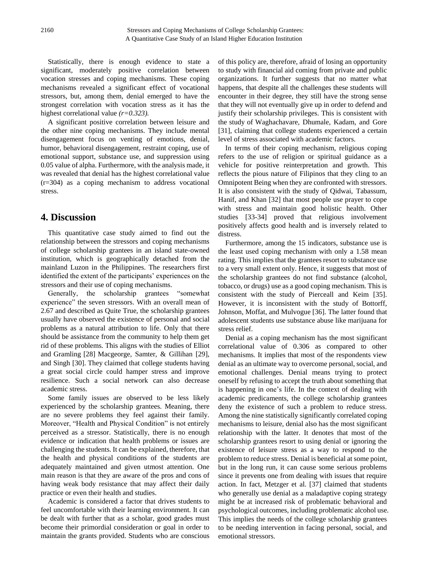Statistically, there is enough evidence to state a significant, moderately positive correlation between vocation stresses and coping mechanisms. These coping mechanisms revealed a significant effect of vocational stressors, but, among them, denial emerged to have the strongest correlation with vocation stress as it has the highest correlational value *(r=0.323).*

A significant positive correlation between leisure and the other nine coping mechanisms. They include mental disengagement focus on venting of emotions, denial, humor, behavioral disengagement, restraint coping, use of emotional support, substance use, and suppression using 0.05 value of alpha. Furthermore, with the analysis made, it was revealed that denial has the highest correlational value (r=304) as a coping mechanism to address vocational stress.

# **4. Discussion**

This quantitative case study aimed to find out the relationship between the stressors and coping mechanisms of college scholarship grantees in an island state-owned institution, which is geographically detached from the mainland Luzon in the Philippines. The researchers first identified the extent of the participants' experiences on the stressors and their use of coping mechanisms.

Generally, the scholarship grantees "somewhat experience" the seven stressors. With an overall mean of 2.67 and described as Quite True, the scholarship grantees usually have observed the existence of personal and social problems as a natural attribution to life. Only that there should be assistance from the community to help them get rid of these problems. This aligns with the studies of Elliot and Gramling [28] Macgeorge, Samter, & Gillihan [29], and Singh [30]. They claimed that college students having a great social circle could hamper stress and improve resilience. Such a social network can also decrease academic stress.

Some family issues are observed to be less likely experienced by the scholarship grantees. Meaning, there are no severe problems they feel against their family. Moreover, "Health and Physical Condition" is not entirely perceived as a stressor. Statistically, there is no enough evidence or indication that health problems or issues are challenging the students. It can be explained, therefore, that the health and physical conditions of the students are adequately maintained and given utmost attention. One main reason is that they are aware of the pros and cons of having weak body resistance that may affect their daily practice or even their health and studies.

Academic is considered a factor that drives students to feel uncomfortable with their learning environment. It can be dealt with further that as a scholar, good grades must become their primordial consideration or goal in order to maintain the grants provided. Students who are conscious

of this policy are, therefore, afraid of losing an opportunity to study with financial aid coming from private and public organizations. It further suggests that no matter what happens, that despite all the challenges these students will encounter in their degree, they still have the strong sense that they will not eventually give up in order to defend and justify their scholarship privileges. This is consistent with the study of Waghachavare, Dhumale, Kadam, and Gore [31], claiming that college students experienced a certain level of stress associated with academic factors.

In terms of their coping mechanism, religious coping refers to the use of religion or spiritual guidance as a vehicle for positive reinterpretation and growth. This reflects the pious nature of Filipinos that they cling to an Omnipotent Being when they are confronted with stressors. It is also consistent with the study of Qidwai, Tabassum, Hanif, and Khan [32] that most people use prayer to cope with stress and maintain good holistic health. Other studies [33-34] proved that religious involvement positively affects good health and is inversely related to distress.

Furthermore, among the 15 indicators, substance use is the least used coping mechanism with only a 1.58 mean rating. This implies that the grantees resort to substance use to a very small extent only. Hence, it suggests that most of the scholarship grantees do not find substance (alcohol, tobacco, or drugs) use as a good coping mechanism. This is consistent with the study of Pierceall and Keim [35]. However, it is inconsistent with the study of Bottorff, Johnson, Moffat, and Mulvogue [36]. The latter found that adolescent students use substance abuse like marijuana for stress relief.

Denial as a coping mechanism has the most significant correlational value of 0.306 as compared to other mechanisms. It implies that most of the respondents view denial as an ultimate way to overcome personal, social, and emotional challenges. Denial means trying to protect oneself by refusing to accept the truth about something that is happening in one's life. In the context of dealing with academic predicaments, the college scholarship grantees deny the existence of such a problem to reduce stress. Among the nine statistically significantly correlated coping mechanisms to leisure, denial also has the most significant relationship with the latter. It denotes that most of the scholarship grantees resort to using denial or ignoring the existence of leisure stress as a way to respond to the problem to reduce stress. Denial is beneficial at some point, but in the long run, it can cause some serious problems since it prevents one from dealing with issues that require action. In fact, Metzger et al. [37] claimed that students who generally use denial as a maladaptive coping strategy might be at increased risk of problematic behavioral and psychological outcomes, including problematic alcohol use. This implies the needs of the college scholarship grantees to be needing intervention in facing personal, social, and emotional stressors.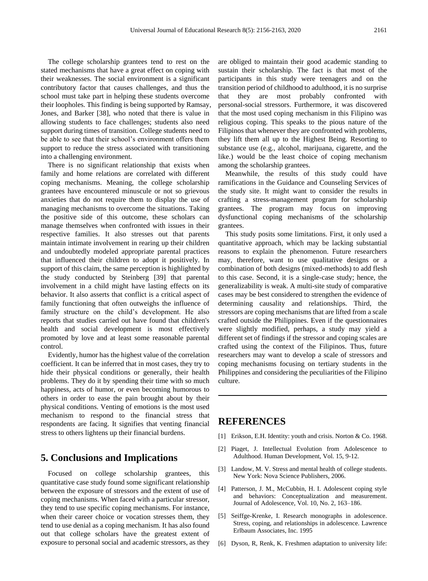The college scholarship grantees tend to rest on the stated mechanisms that have a great effect on coping with their weaknesses. The social environment is a significant contributory factor that causes challenges, and thus the school must take part in helping these students overcome their loopholes. This finding is being supported by Ramsay, Jones, and Barker [38], who noted that there is value in allowing students to face challenges; students also need support during times of transition. College students need to be able to see that their school's environment offers them support to reduce the stress associated with transitioning into a challenging environment.

There is no significant relationship that exists when family and home relations are correlated with different coping mechanisms. Meaning, the college scholarship grantees have encountered minuscule or not so grievous anxieties that do not require them to display the use of managing mechanisms to overcome the situations. Taking the positive side of this outcome, these scholars can manage themselves when confronted with issues in their respective families. It also stresses out that parents maintain intimate involvement in rearing up their children and undoubtedly modeled appropriate parental practices that influenced their children to adopt it positively. In support of this claim, the same perception is highlighted by the study conducted by Steinberg [39] that parental involvement in a child might have lasting effects on its behavior. It also asserts that conflict is a critical aspect of family functioning that often outweighs the influence of family structure on the child's development. He also reports that studies carried out have found that children's health and social development is most effectively promoted by love and at least some reasonable parental control.

Evidently, humor has the highest value of the correlation coefficient. It can be inferred that in most cases, they try to hide their physical conditions or generally, their health problems. They do it by spending their time with so much happiness, acts of humor, or even becoming humorous to others in order to ease the pain brought about by their physical conditions. Venting of emotions is the most used mechanism to respond to the financial stress that respondents are facing. It signifies that venting financial stress to others lightens up their financial burdens.

# **5. Conclusions and Implications**

Focused on college scholarship grantees, this quantitative case study found some significant relationship between the exposure of stressors and the extent of use of coping mechanisms. When faced with a particular stressor, they tend to use specific coping mechanisms. For instance, when their career choice or vocation stresses them, they tend to use denial as a coping mechanism. It has also found out that college scholars have the greatest extent of exposure to personal social and academic stressors, as they

are obliged to maintain their good academic standing to sustain their scholarship. The fact is that most of the participants in this study were teenagers and on the transition period of childhood to adulthood, it is no surprise that they are most probably confronted with personal-social stressors. Furthermore, it was discovered that the most used coping mechanism in this Filipino was religious coping. This speaks to the pious nature of the Filipinos that whenever they are confronted with problems, they lift them all up to the Highest Being. Resorting to substance use (e.g., alcohol, marijuana, cigarette, and the like.) would be the least choice of coping mechanism among the scholarship grantees.

Meanwhile, the results of this study could have ramifications in the Guidance and Counseling Services of the study site. It might want to consider the results in crafting a stress-management program for scholarship grantees. The program may focus on improving dysfunctional coping mechanisms of the scholarship grantees.

This study posits some limitations. First, it only used a quantitative approach, which may be lacking substantial reasons to explain the phenomenon. Future researchers may, therefore, want to use qualitative designs or a combination of both designs (mixed-methods) to add flesh to this case. Second, it is a single-case study; hence, the generalizability is weak. A multi-site study of comparative cases may be best considered to strengthen the evidence of determining causality and relationships. Third, the stressors are coping mechanisms that are lifted from a scale crafted outside the Philippines. Even if the questionnaires were slightly modified, perhaps, a study may yield a different set of findings if the stressor and coping scales are crafted using the context of the Filipinos. Thus, future researchers may want to develop a scale of stressors and coping mechanisms focusing on tertiary students in the Philippines and considering the peculiarities of the Filipino culture.

## **REFERENCES**

- [1] Erikson, E.H. Identity: youth and crisis. Norton & Co. 1968.
- [2] Piaget, J. Intellectual Evolution from Adolescence to Adulthood. Human Development, Vol. 15, 9-12.
- [3] Landow, M. V. Stress and mental health of college students. New York: Nova Science Publishers, 2006.
- [4] Patterson, J. M., McCubbin, H. I. Adolescent coping style and behaviors: Conceptualization and measurement. Journal of Adolescence, Vol. 10, No. 2, 163–186.
- [5] Seiffge-Krenke, I. Research monographs in adolescence. Stress, coping, and relationships in adolescence. Lawrence Erlbaum Associates, Inc. 1995
- [6] Dyson, R, Renk, K. Freshmen adaptation to university life: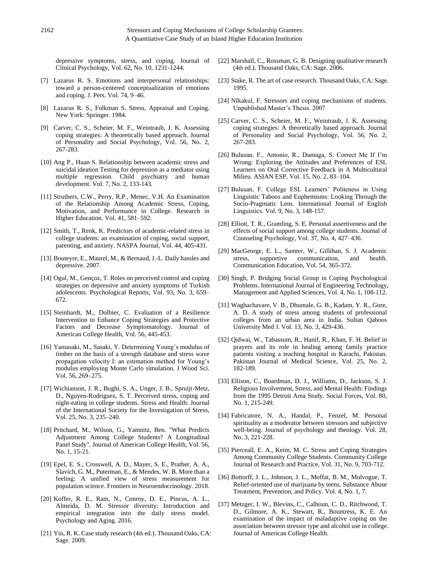depressive symptoms, stress, and coping. Journal of Clinical Psychology, Vol. 62, No. 10, 1231-1244.

- [7] Lazarus R. S. Emotions and interpersonal relationships: toward a person-centered conceptualization of emotions and coping. J. Pers. Vol. 74, 9–46.
- [8] Lazarus R. S., Folkman S. Stress, Appraisal and Coping. New York: Springer. 1984.
- [9] Carver, C. S., Scheier, M. F., Weintraub, J. K. Assessing coping strategies: A theoretically based approach. Journal of Personality and Social Psychology, Vol. 56, No. 2, 267-283.
- [10] Ang P., Huan S. Relationship between academic stress and suicidal ideation Testing for depression as a mediator using multiple regression. Child psychiatry and human development. Vol. 7, No. 2, 133-143.
- [11] Struthers, C.W., Perry, R.P., Menec, V.H. An Examination of the Relationship Among Academic Stress, Coping, Motivation, and Performance in College. Research in Higher Education. Vol. 41, 581–592.
- [12] Smith, T., Renk, K. Predictors of academic-related stress in college students: an examination of coping, social support, parenting, and anxiety. NASPA Journal, Vol. 44, 405-431.
- [13] Bouteyre, E., Maurel, M., & Bernaud, J.-L. Daily hassles and depressive. 2007.
- [14] Ogul, M., Gen çoz, T. Roles on perceived control and coping strategies on depressive and anxiety symptoms of Turkish adolescents. Psychological Reports, Vol. 93, No. 3, 659– 672.
- [15] Steinhardt, M., Dolbier, C. Evaluation of a Resilience Intervention to Enhance Coping Strategies and Protective Factors and Decrease Symptomatology. Journal of American College Health, Vol. 56, 445-453.
- [16] Yamasaki, M., Sasaki, Y. Determining Young's modulus of timber on the basis of a strength database and stress wave propagation velocity I: an estimation method for Young's modulus employing Monte Carlo simulation. J Wood Sci. Vol. 56, 269–275.
- [17] Wichianson, J. R., Bughi, S. A., Unger, J. B., Spruijt-Metz, D., Nguyen-Rodriguez, S. T. Perceived stress, coping and night-eating in college students. Stress and Health: Journal of the International Society for the Investigation of Stress, Vol. 25, No. 3, 235–240.
- [18] Pritchard, M., Wilson, G., Yamnitz, Ben. "What Predicts Adjustment Among College Students? A Longitudinal Panel Study". Journal of American College Health, Vol. 56, No. 1, 15-21.
- [19] Epel, E. S., Crosswell, A. D., Mayer, S. E., Prather, A. A., Slavich, G. M., Puterman, E., & Mendes, W. B. More than a feeling: A unified view of stress measurement for population science. Frontiers in Neuroendocrinology. 2018.
- [20] Koffer, R. E., Ram, N., Conroy, D. E., Pincus, A. L., Almeida, D. M. Stressor diversity: Introduction and empirical integration into the daily stress model. Psychology and Aging. 2016.
- [21] Yin, R. K. Case study research (4th ed.). Thousand Oaks, CA: Sage. 2009.
- [22] Marshall, C., Rossman, G. B. Designing qualitative research (4th ed.). Thousand Oaks, CA: Sage. 2006.
- [23] Stake, R. The art of case research. Thousand Oaks, CA: Sage. 1995.
- [24] NIkakul, F. Stressors and coping mechanisms of students. Unpublished Master's Thesis. 2007
- [25] Carver, C. S., Scheier, M. F., Weintraub, J. K. Assessing coping strategies: A theoretically based approach. Journal of Personality and Social Psychology, Vol. 56, No. 2, 267-283.
- [26] Bulusan, F., Antonio, R., Dumaga, S. Correct Me If I'm Wrong: Exploring the Attitudes and Preferences of ESL Learners on Oral Corrective Feedback in A Multicultural Milieu. ASIAN ESP, Vol. 15, No. 2, 83–104.
- [27] Bulusan, F. College ESL Learners' Politeness in Using Linguistic Taboos and Euphemisms: Looking Through the Socio-Pragmatic Lens. International Journal of English Linguistics. Vol. 9, No. 3, 148-157.
- [28] Elliott, T. R., Gramling, S. E. Personal assertiveness and the effects of social support among college students. Journal of Counseling Psychology, Vol. 37, No. 4, 427–436.
- [29] MacGeorge, E. L., Samter, W., Gillihan, S. J. Academic stress, supportive communication, and health. Communication Education, Vol. 54, 365-372.
- [30] Singh, P. Bridging Social Group in Coping Psychological Problems. International Journal of Engineering Technology, Management and Applied Sciences, Vol. 4, No. 1, 108-112.
- [31] Waghachavare, V. B., Dhumale, G. B., Kadam, Y. R., Gore, A. D. A study of stress among students of professional colleges from an urban area in India. Sultan Qaboos University Med J. Vol. 13, No. 3, 429-436.
- [32] Qidwai, W., Tabassum, R., Hanif, R., Khan, F. H. Belief in prayers and its role in healing among family practice patients visiting a teaching hospital in Karachi, Pakistan. Pakistan Journal of Medical Science, Vol. 25, No. 2, 182-189.
- [33] Ellison, C., Boardman, D. J., Williams, D., Jackson, S. J. Religious Involvement, Stress, and Mental Health: Findings from the 1995 Detroit Area Study. Social Forces, Vol. 80, No. 1, 215-249.
- [34] Fabricatore, N. A., Handal, P., Fenzel, M. Personal spirituality as a moderator between stressors and subjective well-being. Journal of psychology and theology. Vol. 28, No. 3, 221-228.
- [35] Pierceall, E. A., Keim, M. C. Stress and Coping Strategies Among Community College Students. Community College Journal of Research and Practice, Vol. 31, No. 9, 703-712.
- [36] Bottorff, J. L., Johnson, J. L., Moffat, B. M., Mulvogue, T. Relief-oriented use of marijuana by teens. Substance Abuse Treatment, Prevention, and Policy. Vol. 4, No. 1, 7.
- [37] Metzger, I. W., Blevins, C., Calhoun, C. D., Ritchwood, T. D., Gilmore, A. K., Stewart, R., Bountress, K. E. An examination of the impact of maladaptive coping on the association between stressor type and alcohol use in college. Journal of American College Health.